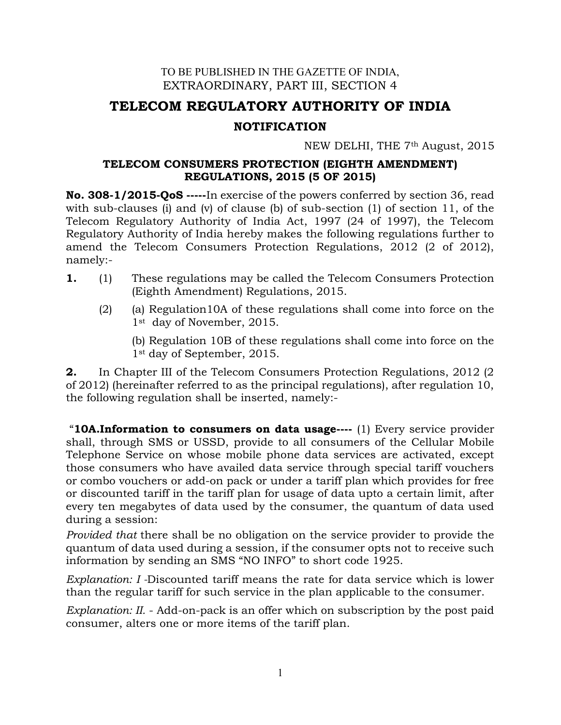## TO BE PUBLISHED IN THE GAZETTE OF INDIA, EXTRAORDINARY, PART III, SECTION 4

# TELECOM REGULATORY AUTHORITY OF INDIA

## NOTIFICATION

NEW DELHI, THE 7th August, 2015

## TELECOM CONSUMERS PROTECTION (EIGHTH AMENDMENT) REGULATIONS, 2015 (5 OF 2015)

No. 308-1/2015-QoS -----In exercise of the powers conferred by section 36, read with sub-clauses (i) and (v) of clause (b) of sub-section (1) of section 11, of the Telecom Regulatory Authority of India Act, 1997 (24 of 1997), the Telecom Regulatory Authority of India hereby makes the following regulations further to amend the Telecom Consumers Protection Regulations, 2012 (2 of 2012), namely:-

- 1. (1) These regulations may be called the Telecom Consumers Protection (Eighth Amendment) Regulations, 2015.
	- (2) (a) Regulation10A of these regulations shall come into force on the 1st day of November, 2015.

(b) Regulation 10B of these regulations shall come into force on the 1st day of September, 2015.

**2.** In Chapter III of the Telecom Consumers Protection Regulations, 2012 (2) of 2012) (hereinafter referred to as the principal regulations), after regulation 10, the following regulation shall be inserted, namely:-

"**10A.Information to consumers on data usage----**  $(1)$  Every service provider shall, through SMS or USSD, provide to all consumers of the Cellular Mobile Telephone Service on whose mobile phone data services are activated, except those consumers who have availed data service through special tariff vouchers or combo vouchers or add-on pack or under a tariff plan which provides for free or discounted tariff in the tariff plan for usage of data upto a certain limit, after every ten megabytes of data used by the consumer, the quantum of data used during a session:

Provided that there shall be no obligation on the service provider to provide the quantum of data used during a session, if the consumer opts not to receive such information by sending an SMS "NO INFO" to short code 1925.

Explanation: I -Discounted tariff means the rate for data service which is lower than the regular tariff for such service in the plan applicable to the consumer.

Explanation: II. - Add-on-pack is an offer which on subscription by the post paid consumer, alters one or more items of the tariff plan.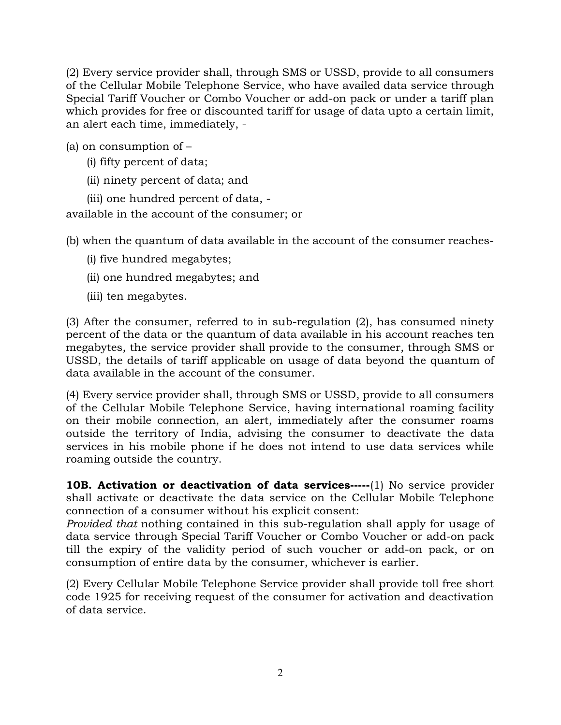(2) Every service provider shall, through SMS or USSD, provide to all consumers of the Cellular Mobile Telephone Service, who have availed data service through Special Tariff Voucher or Combo Voucher or add-on pack or under a tariff plan which provides for free or discounted tariff for usage of data upto a certain limit, an alert each time, immediately, -

(a) on consumption of –

- (i) fifty percent of data;
- (ii) ninety percent of data; and

(iii) one hundred percent of data, available in the account of the consumer; or

(b) when the quantum of data available in the account of the consumer reaches-

- (i) five hundred megabytes;
- (ii) one hundred megabytes; and
- (iii) ten megabytes.

(3) After the consumer, referred to in sub-regulation (2), has consumed ninety percent of the data or the quantum of data available in his account reaches ten megabytes, the service provider shall provide to the consumer, through SMS or USSD, the details of tariff applicable on usage of data beyond the quantum of data available in the account of the consumer.

(4) Every service provider shall, through SMS or USSD, provide to all consumers of the Cellular Mobile Telephone Service, having international roaming facility on their mobile connection, an alert, immediately after the consumer roams outside the territory of India, advising the consumer to deactivate the data services in his mobile phone if he does not intend to use data services while roaming outside the country.

**10B. Activation or deactivation of data services-----(1)** No service provider shall activate or deactivate the data service on the Cellular Mobile Telephone connection of a consumer without his explicit consent:

Provided that nothing contained in this sub-regulation shall apply for usage of data service through Special Tariff Voucher or Combo Voucher or add-on pack till the expiry of the validity period of such voucher or add-on pack, or on consumption of entire data by the consumer, whichever is earlier.

(2) Every Cellular Mobile Telephone Service provider shall provide toll free short code 1925 for receiving request of the consumer for activation and deactivation of data service.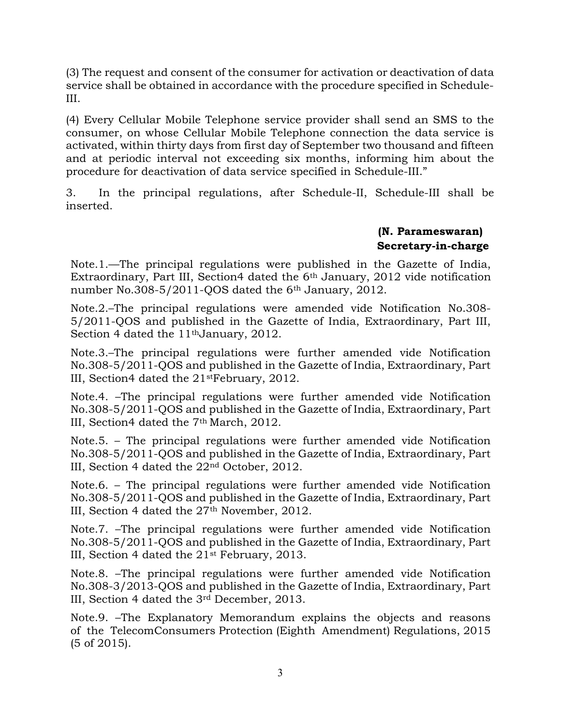(3) The request and consent of the consumer for activation or deactivation of data service shall be obtained in accordance with the procedure specified in Schedule-III.

(4) Every Cellular Mobile Telephone service provider shall send an SMS to the consumer, on whose Cellular Mobile Telephone connection the data service is activated, within thirty days from first day of September two thousand and fifteen and at periodic interval not exceeding six months, informing him about the procedure for deactivation of data service specified in Schedule-III."

3. In the principal regulations, after Schedule-II, Schedule-III shall be inserted.

#### (N. Parameswaran) Secretary-in-charge

Note.1.—The principal regulations were published in the Gazette of India, Extraordinary, Part III, Section4 dated the  $6<sup>th</sup>$  January, 2012 vide notification number No.308-5/2011-QOS dated the 6<sup>th</sup> January, 2012.

Note.2.–The principal regulations were amended vide Notification No.308- 5/2011-QOS and published in the Gazette of India, Extraordinary, Part III, Section 4 dated the 11<sup>th</sup>January, 2012.

Note.3.–The principal regulations were further amended vide Notification No.308-5/2011-QOS and published in the Gazette of India, Extraordinary, Part III, Section4 dated the 21stFebruary, 2012.

Note.4. –The principal regulations were further amended vide Notification No.308-5/2011-QOS and published in the Gazette of India, Extraordinary, Part III, Section4 dated the 7th March, 2012.

Note.5. – The principal regulations were further amended vide Notification No.308-5/2011-QOS and published in the Gazette of India, Extraordinary, Part III, Section 4 dated the 22nd October, 2012.

Note.6. – The principal regulations were further amended vide Notification No.308-5/2011-QOS and published in the Gazette of India, Extraordinary, Part III, Section 4 dated the 27th November, 2012.

Note.7. –The principal regulations were further amended vide Notification No.308-5/2011-QOS and published in the Gazette of India, Extraordinary, Part III, Section 4 dated the 21st February, 2013.

Note.8. –The principal regulations were further amended vide Notification No.308-3/2013-QOS and published in the Gazette of India, Extraordinary, Part III, Section 4 dated the 3rd December, 2013.

Note.9. –The Explanatory Memorandum explains the objects and reasons of the TelecomConsumers Protection (Eighth Amendment) Regulations, 2015 (5 of 2015).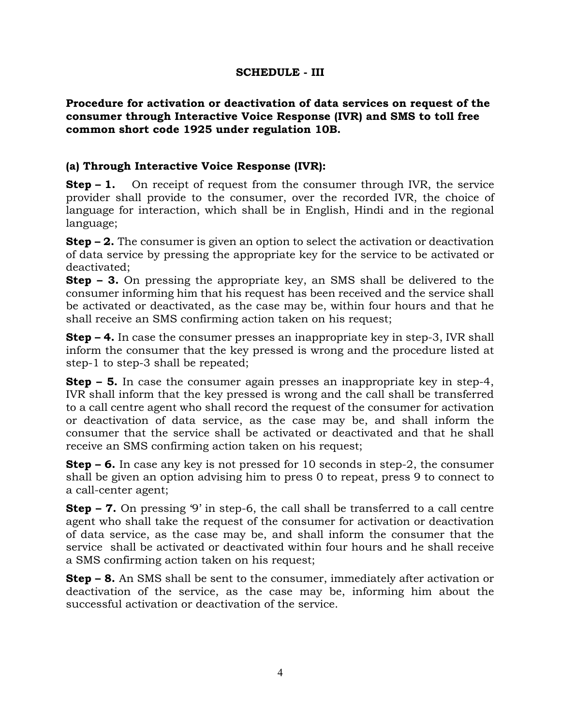#### SCHEDULE - III

#### Procedure for activation or deactivation of data services on request of the consumer through Interactive Voice Response (IVR) and SMS to toll free common short code 1925 under regulation 10B.

## (a) Through Interactive Voice Response (IVR):

**Step – 1.** On receipt of request from the consumer through IVR, the service provider shall provide to the consumer, over the recorded IVR, the choice of language for interaction, which shall be in English, Hindi and in the regional language;

**Step – 2.** The consumer is given an option to select the activation or deactivation of data service by pressing the appropriate key for the service to be activated or deactivated;

Step – 3. On pressing the appropriate key, an SMS shall be delivered to the consumer informing him that his request has been received and the service shall be activated or deactivated, as the case may be, within four hours and that he shall receive an SMS confirming action taken on his request;

**Step – 4.** In case the consumer presses an inappropriate key in step-3, IVR shall inform the consumer that the key pressed is wrong and the procedure listed at step-1 to step-3 shall be repeated;

**Step – 5.** In case the consumer again presses an inappropriate key in step-4, IVR shall inform that the key pressed is wrong and the call shall be transferred to a call centre agent who shall record the request of the consumer for activation or deactivation of data service, as the case may be, and shall inform the consumer that the service shall be activated or deactivated and that he shall receive an SMS confirming action taken on his request;

**Step – 6.** In case any key is not pressed for 10 seconds in step-2, the consumer shall be given an option advising him to press 0 to repeat, press 9 to connect to a call-center agent;

Step – 7. On pressing '9' in step-6, the call shall be transferred to a call centre agent who shall take the request of the consumer for activation or deactivation of data service, as the case may be, and shall inform the consumer that the service shall be activated or deactivated within four hours and he shall receive a SMS confirming action taken on his request;

Step – 8. An SMS shall be sent to the consumer, immediately after activation or deactivation of the service, as the case may be, informing him about the successful activation or deactivation of the service.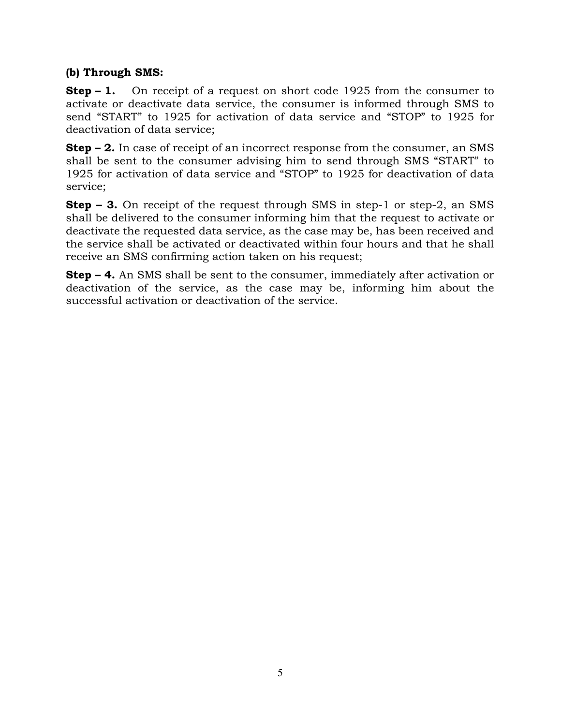## (b) Through SMS:

**Step – 1.** On receipt of a request on short code 1925 from the consumer to activate or deactivate data service, the consumer is informed through SMS to send "START" to 1925 for activation of data service and "STOP" to 1925 for deactivation of data service;

Step – 2. In case of receipt of an incorrect response from the consumer, an SMS shall be sent to the consumer advising him to send through SMS "START" to 1925 for activation of data service and "STOP" to 1925 for deactivation of data service;

Step – 3. On receipt of the request through SMS in step-1 or step-2, an SMS shall be delivered to the consumer informing him that the request to activate or deactivate the requested data service, as the case may be, has been received and the service shall be activated or deactivated within four hours and that he shall receive an SMS confirming action taken on his request;

Step – 4. An SMS shall be sent to the consumer, immediately after activation or deactivation of the service, as the case may be, informing him about the successful activation or deactivation of the service.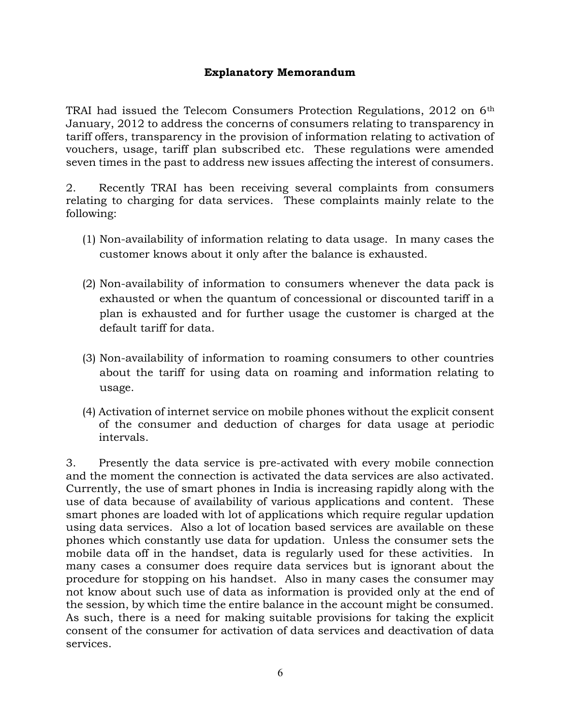#### Explanatory Memorandum

TRAI had issued the Telecom Consumers Protection Regulations, 2012 on 6<sup>th</sup> January, 2012 to address the concerns of consumers relating to transparency in tariff offers, transparency in the provision of information relating to activation of vouchers, usage, tariff plan subscribed etc. These regulations were amended seven times in the past to address new issues affecting the interest of consumers.

2. Recently TRAI has been receiving several complaints from consumers relating to charging for data services. These complaints mainly relate to the following:

- (1) Non-availability of information relating to data usage. In many cases the customer knows about it only after the balance is exhausted.
- (2) Non-availability of information to consumers whenever the data pack is exhausted or when the quantum of concessional or discounted tariff in a plan is exhausted and for further usage the customer is charged at the default tariff for data.
- (3) Non-availability of information to roaming consumers to other countries about the tariff for using data on roaming and information relating to usage.
- (4) Activation of internet service on mobile phones without the explicit consent of the consumer and deduction of charges for data usage at periodic intervals.

3. Presently the data service is pre-activated with every mobile connection and the moment the connection is activated the data services are also activated. Currently, the use of smart phones in India is increasing rapidly along with the use of data because of availability of various applications and content. These smart phones are loaded with lot of applications which require regular updation using data services. Also a lot of location based services are available on these phones which constantly use data for updation. Unless the consumer sets the mobile data off in the handset, data is regularly used for these activities. In many cases a consumer does require data services but is ignorant about the procedure for stopping on his handset. Also in many cases the consumer may not know about such use of data as information is provided only at the end of the session, by which time the entire balance in the account might be consumed. As such, there is a need for making suitable provisions for taking the explicit consent of the consumer for activation of data services and deactivation of data services.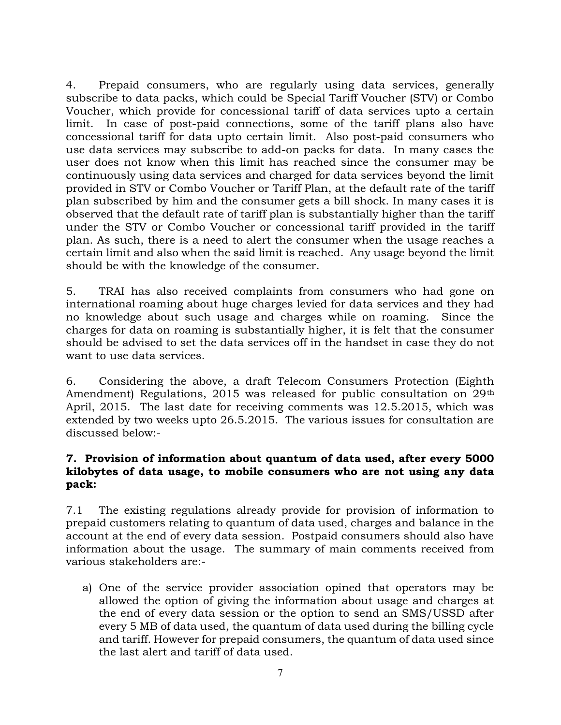4. Prepaid consumers, who are regularly using data services, generally subscribe to data packs, which could be Special Tariff Voucher (STV) or Combo Voucher, which provide for concessional tariff of data services upto a certain limit. In case of post-paid connections, some of the tariff plans also have concessional tariff for data upto certain limit. Also post-paid consumers who use data services may subscribe to add-on packs for data. In many cases the user does not know when this limit has reached since the consumer may be continuously using data services and charged for data services beyond the limit provided in STV or Combo Voucher or Tariff Plan, at the default rate of the tariff plan subscribed by him and the consumer gets a bill shock. In many cases it is observed that the default rate of tariff plan is substantially higher than the tariff under the STV or Combo Voucher or concessional tariff provided in the tariff plan. As such, there is a need to alert the consumer when the usage reaches a certain limit and also when the said limit is reached. Any usage beyond the limit should be with the knowledge of the consumer.

5. TRAI has also received complaints from consumers who had gone on international roaming about huge charges levied for data services and they had no knowledge about such usage and charges while on roaming. Since the charges for data on roaming is substantially higher, it is felt that the consumer should be advised to set the data services off in the handset in case they do not want to use data services.

6. Considering the above, a draft Telecom Consumers Protection (Eighth Amendment) Regulations, 2015 was released for public consultation on 29<sup>th</sup> April, 2015. The last date for receiving comments was 12.5.2015, which was extended by two weeks upto 26.5.2015. The various issues for consultation are discussed below:-

#### 7. Provision of information about quantum of data used, after every 5000 kilobytes of data usage, to mobile consumers who are not using any data pack:

7.1 The existing regulations already provide for provision of information to prepaid customers relating to quantum of data used, charges and balance in the account at the end of every data session. Postpaid consumers should also have information about the usage. The summary of main comments received from various stakeholders are:-

a) One of the service provider association opined that operators may be allowed the option of giving the information about usage and charges at the end of every data session or the option to send an SMS/USSD after every 5 MB of data used, the quantum of data used during the billing cycle and tariff. However for prepaid consumers, the quantum of data used since the last alert and tariff of data used.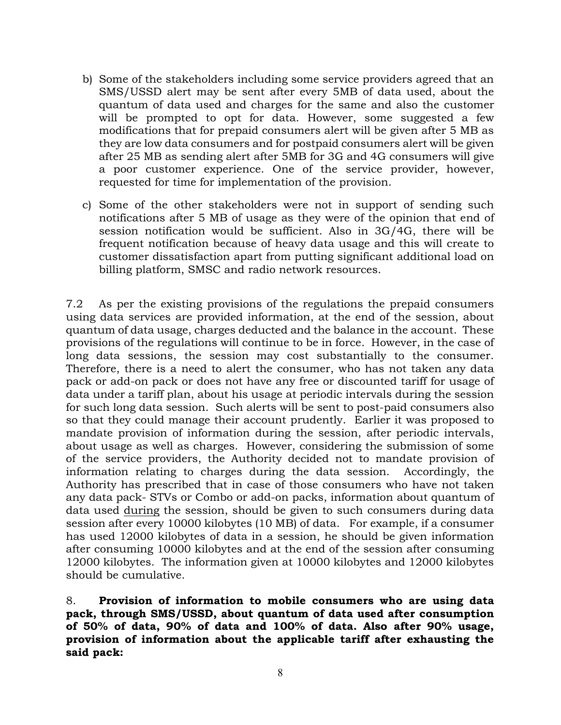- b) Some of the stakeholders including some service providers agreed that an SMS/USSD alert may be sent after every 5MB of data used, about the quantum of data used and charges for the same and also the customer will be prompted to opt for data. However, some suggested a few modifications that for prepaid consumers alert will be given after 5 MB as they are low data consumers and for postpaid consumers alert will be given after 25 MB as sending alert after 5MB for 3G and 4G consumers will give a poor customer experience. One of the service provider, however, requested for time for implementation of the provision.
- c) Some of the other stakeholders were not in support of sending such notifications after 5 MB of usage as they were of the opinion that end of session notification would be sufficient. Also in 3G/4G, there will be frequent notification because of heavy data usage and this will create to customer dissatisfaction apart from putting significant additional load on billing platform, SMSC and radio network resources.

7.2 As per the existing provisions of the regulations the prepaid consumers using data services are provided information, at the end of the session, about quantum of data usage, charges deducted and the balance in the account. These provisions of the regulations will continue to be in force. However, in the case of long data sessions, the session may cost substantially to the consumer. Therefore, there is a need to alert the consumer, who has not taken any data pack or add-on pack or does not have any free or discounted tariff for usage of data under a tariff plan, about his usage at periodic intervals during the session for such long data session. Such alerts will be sent to post-paid consumers also so that they could manage their account prudently. Earlier it was proposed to mandate provision of information during the session, after periodic intervals, about usage as well as charges. However, considering the submission of some of the service providers, the Authority decided not to mandate provision of information relating to charges during the data session. Accordingly, the Authority has prescribed that in case of those consumers who have not taken any data pack- STVs or Combo or add-on packs, information about quantum of data used during the session, should be given to such consumers during data session after every 10000 kilobytes (10 MB) of data. For example, if a consumer has used 12000 kilobytes of data in a session, he should be given information after consuming 10000 kilobytes and at the end of the session after consuming 12000 kilobytes. The information given at 10000 kilobytes and 12000 kilobytes should be cumulative.

8. Provision of information to mobile consumers who are using data pack, through SMS/USSD, about quantum of data used after consumption of 50% of data, 90% of data and 100% of data. Also after 90% usage, provision of information about the applicable tariff after exhausting the said pack: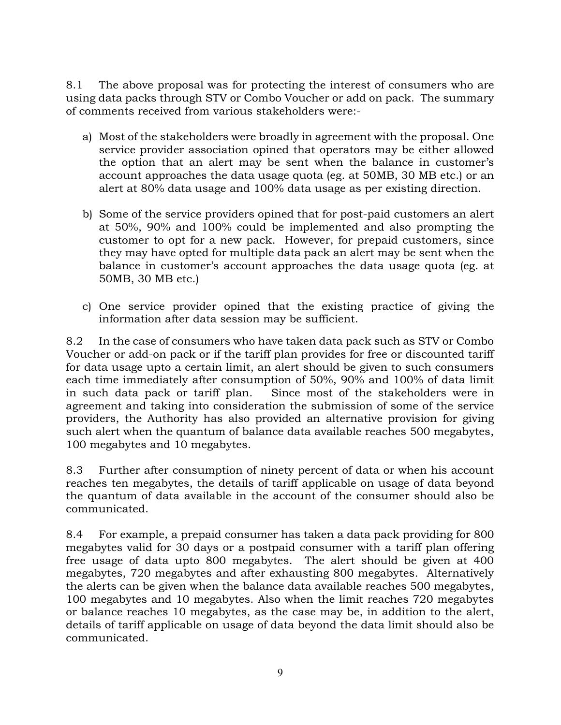8.1 The above proposal was for protecting the interest of consumers who are using data packs through STV or Combo Voucher or add on pack. The summary of comments received from various stakeholders were:-

- a) Most of the stakeholders were broadly in agreement with the proposal. One service provider association opined that operators may be either allowed the option that an alert may be sent when the balance in customer's account approaches the data usage quota (eg. at 50MB, 30 MB etc.) or an alert at 80% data usage and 100% data usage as per existing direction.
- b) Some of the service providers opined that for post-paid customers an alert at 50%, 90% and 100% could be implemented and also prompting the customer to opt for a new pack. However, for prepaid customers, since they may have opted for multiple data pack an alert may be sent when the balance in customer's account approaches the data usage quota (eg. at 50MB, 30 MB etc.)
- c) One service provider opined that the existing practice of giving the information after data session may be sufficient.

8.2 In the case of consumers who have taken data pack such as STV or Combo Voucher or add-on pack or if the tariff plan provides for free or discounted tariff for data usage upto a certain limit, an alert should be given to such consumers each time immediately after consumption of 50%, 90% and 100% of data limit in such data pack or tariff plan. Since most of the stakeholders were in agreement and taking into consideration the submission of some of the service providers, the Authority has also provided an alternative provision for giving such alert when the quantum of balance data available reaches 500 megabytes, 100 megabytes and 10 megabytes.

8.3 Further after consumption of ninety percent of data or when his account reaches ten megabytes, the details of tariff applicable on usage of data beyond the quantum of data available in the account of the consumer should also be communicated.

8.4 For example, a prepaid consumer has taken a data pack providing for 800 megabytes valid for 30 days or a postpaid consumer with a tariff plan offering free usage of data upto 800 megabytes. The alert should be given at 400 megabytes, 720 megabytes and after exhausting 800 megabytes. Alternatively the alerts can be given when the balance data available reaches 500 megabytes, 100 megabytes and 10 megabytes. Also when the limit reaches 720 megabytes or balance reaches 10 megabytes, as the case may be, in addition to the alert, details of tariff applicable on usage of data beyond the data limit should also be communicated.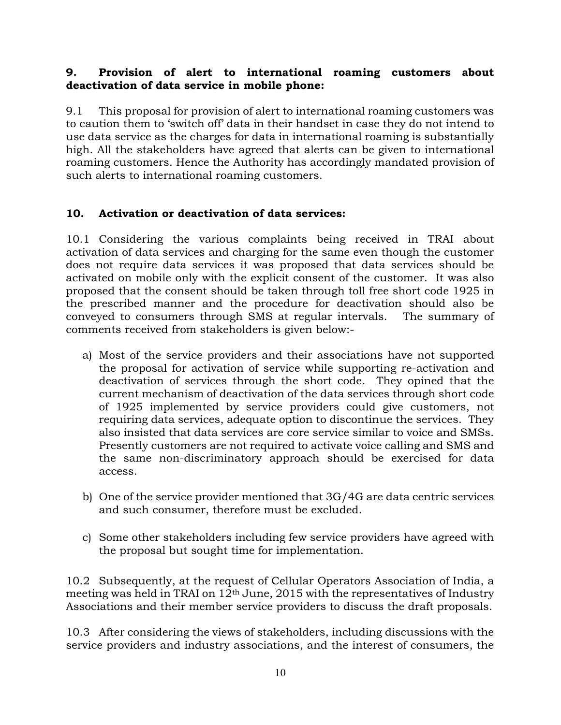## 9. Provision of alert to international roaming customers about deactivation of data service in mobile phone:

9.1 This proposal for provision of alert to international roaming customers was to caution them to 'switch off' data in their handset in case they do not intend to use data service as the charges for data in international roaming is substantially high. All the stakeholders have agreed that alerts can be given to international roaming customers. Hence the Authority has accordingly mandated provision of such alerts to international roaming customers.

## 10. Activation or deactivation of data services:

10.1 Considering the various complaints being received in TRAI about activation of data services and charging for the same even though the customer does not require data services it was proposed that data services should be activated on mobile only with the explicit consent of the customer. It was also proposed that the consent should be taken through toll free short code 1925 in the prescribed manner and the procedure for deactivation should also be conveyed to consumers through SMS at regular intervals. The summary of comments received from stakeholders is given below:-

- a) Most of the service providers and their associations have not supported the proposal for activation of service while supporting re-activation and deactivation of services through the short code. They opined that the current mechanism of deactivation of the data services through short code of 1925 implemented by service providers could give customers, not requiring data services, adequate option to discontinue the services. They also insisted that data services are core service similar to voice and SMSs. Presently customers are not required to activate voice calling and SMS and the same non-discriminatory approach should be exercised for data access.
- b) One of the service provider mentioned that 3G/4G are data centric services and such consumer, therefore must be excluded.
- c) Some other stakeholders including few service providers have agreed with the proposal but sought time for implementation.

10.2 Subsequently, at the request of Cellular Operators Association of India, a meeting was held in TRAI on 12th June, 2015 with the representatives of Industry Associations and their member service providers to discuss the draft proposals.

10.3 After considering the views of stakeholders, including discussions with the service providers and industry associations, and the interest of consumers, the